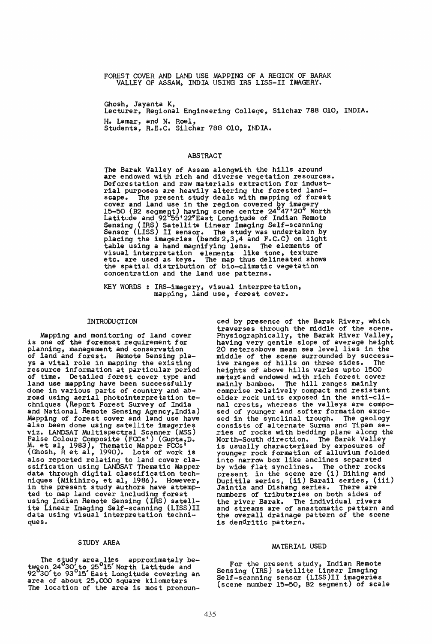FOREST COVER AND LAND USE MAPPING OF A REGION OF BARAK VALLEY OF ASSAM, INDIA USING IRS LISS-II IMAGERY.

Ghosh, Jayanta K, Lecturer, Regional Engineering College, Silchar 788 010, INDIA. H. Lamar, and N. Roel, Students, R.E.C. Silchar 788 010, INDIA.

### ABSTRACT

The Barak Valley of Assam alongwith the hills around are endowed with rich and diverse vegetation resources. Deforestation and raw materials extraction for industrial purposes are heavily altering the forested landscape. The present study deals with mapping of forest cover and land use in the region covered by imagery 15-50 (B2 segmegt) having scene centre *24<sup>0</sup> 47'20Q* North Latitude and 92°55'22"East Longitude of Indian Remote Sensing (IRS) Satellite Linear Imaging Self-scanning<br>Sensor (LISS) II sensor. The study was undertaken by<br>placing the imageries (bands2,3,4 and F.C.C) on light<br>table using a hand magnifying lens. The elements of visual interpretation elements like tone, texture etc. are used as keys. The map thus delineated shows the spatial distribution of bio-climatic vegetation concentration and the land use patterns.

KEY WORDS : IRS-imagery, visual interpretation, mapping, land use, forest cover.

#### INTRODUCTION

Mapping and monitoring of land cover is one of the foremost requirement for planning, management and conservation of land and forest. Remote Sensing plays a vital role in mapping the existing resource information at particular period of time. Detailed forest cover type and land use mapping have been successfully lana use mapping have been successfully done in various parts of country and abroad using aerial photointerpretation techniques {Report Forest Survey of India and National Remote Sensing Agency, India)<br>Mapping of forest cover and land use have<br>also been done using satellite imageries also been done using satellite imageries<br>viz. LANDSAT Multispectral Scanner (MSS)<br>False Colour Composite (FCCs') (Gupta,D.<br>M. et al, 1983), Thematic Mapper FCCs' (Ghosh, R et al, 1990). Lots of work is also reported relating to land cover classification using LANDSAT Thematic Mapper data through digital classification techdata through digital classification techniques (Mikihiro, et al, 1986). However, in the present study authors have attemp-<br>ted to map land cover including forest using Indian Remote Sensing (IRS) satellite Linear Imaging Self-scanning (LISS)II data using visual interpretation techniques.

### STUDY AREA

The study area lies approximately betwgen 24°30' to 25°15' North Latitude and 92°30' to 93°15' East Longitude covering an area of about 25,000 square kilometers The location of the area is most pronounced by presence of the Barak River, which traverses through the middle of the scene. Physiographically, the Barak River Valley, having very gentle slope of average height 20 metersabove mean sea level lies in the middle of the scene surrounded by success-ive ranges of hills on three sides. The heights of above hills varies upto 1500 meters and endowed with rich forest cover mainly bamboo. The hill ranges mainly comprise relatively compact and resistant older rock units exposed in the anti-clinal crests, whereas the valleys are compo-<br>sed of younger and softer formation expo-<br>sed in the synclinal trough. The geology<br>consists of alternate Surma and Tipam series of rocks with bedding plane along the North-South direction. The Barak Valley is usually characterised by exposures of younger rock formation of alluvium folded<br>into narrow box like anclines separated into narrow box like anclines separated by wide flat synclines. The other rocks present in the scene are (i) Dihing and present in the stene are (i) Bining and<br>Dupitila series, (ii) Barail series, (iii)<br>Jaintia and Dishang series. There are numbers of tributaries on both sides of the river Barak. The individual rivers and streams are of anastomatic pattern and the overall drainage pattern of the scene is dendritic pattern.

# MATERIAL USED

For the present study, Indian Remote Sensing (IRS) satellite Linear Imaging Self-scanning sensor (LISS)II imageries (scene number 15-50, B2 segment) of scale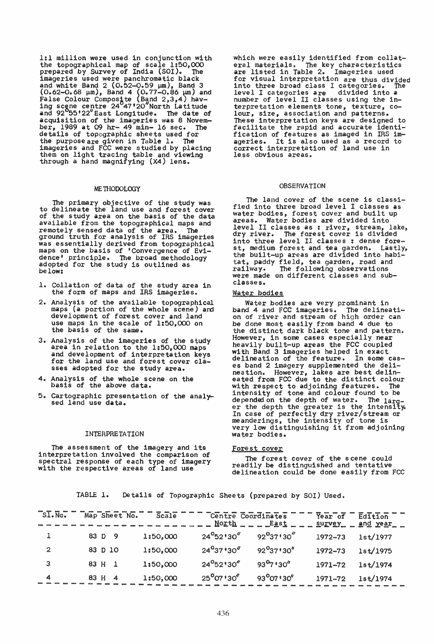*1:1* million were used in conjunction with the topographical map of scale 1:50,000 prepared by Survey of India (SOl). The imageries used were panchromatic black and white Band  $2$  (0.52-0.59  $\mu$ m), Band 3  $(0.62 - 0.68 \mu m)$ , Band 4  $(0.77 - 0.86 \mu m)$  and False Colour Composite (Band 2,3,4) having scene centre 24<sup>0</sup>47 '20"North Latitude and 92<sup>0</sup>55'22"East Longitude. The date of acquisition of the imageries was 8 Novem-<br>ber, 1989 at 09 hr- 49 min- 16 sec. The ber, 1989 at 09 hr- 49 min- 16 sec. details of topographic sheets used for the purpose are given in Table 1. The imageries into tracing table and viewing<br>them on light tracing table and viewing<br>through a hand magnifying (X4) lens.

#### ME THODOLOGY

The primary objective of the study was to delineate the land use and forest cover of the study area on the basis of the data available from the topographical maps and remotely sensed data of the area. The ground truth for analysis of IRS imageries was essentially derived from topographical maps on the basis of 'Convergence of Evidence' principle. The broad methodology adopted for the study is outlined as below:

- 1. Collation of data of the study area in the form of maps and IRS imageries.
- 2. Analysis of the available topographical maps (a portion of the whole scene) and development of forest cover and land use maps in the scale of 1:50,000 on the basis of the same.
- 3. Analysis of the imageries of the study area in relation to the 1:50,000 maps<br>and development of interpretation keys<br>for the land use and forest cover classes adopted for the study area.
- 4. Analysis of the whole scene on the basis of the above data.
- 5. Cartographic presentation of the analy- sed land use data.

# INTERPRE TA TION

The assessment of the imagery and its interpretation involved the comparison of spectral response of each type of imagery with the respective areas of land use

which were easily identified from collateral materials. The key characteristics are listed in Table 2. Imageries used for visual interpretation are thus divided into three broad class I categories. level I categories are divided into a number of level II classes using the interpretation elements tone, texture, colour, size, association and patterns. These interpretation keys are designed to These interpretation keys are designed to<br>facilitate the rapid and accurate identification of features as imaged in IRS im-It is also used as a record to correct interpretation of land use in less obvious areas.

## OBSERVATION

The land cover of the scene is classified into three broad level I classes as water bodies, forest cover and built up<br>areas. Water bodies are divided into Water bodies are divided into level II classes as : river, stream, lake, dry river. The forest cover is divided into three level II classes : dense fore~ st, medium forest and tea garden. Lastly, the built-up areas are divided into habitat, paddy field, tea garden, road and railway. The following observations railway. The following observations<br>were made on different classes and subclasses.

### Water bodies

Water bodies are very prominant in<br>d 4 and FCC imageries. The delineatiband 4 and FCC imageries. The delineation of river and stream of high order can be done most easily from band 4 due to the distinct dark black tone and pattern.<br>However, in some cases especially near<br>heavily built-up areas the FCC coupled heavily built-up areas the FCC coupled with Band 3 imageries helped in exact delineation of the feature. In some cases band 2 imagery supplemented the delineation. However, lakes are best delineated from FCC due to the distinct colour with respect to adjoining features. The intensity of tone and colour found to be depended on the depth of water. The larg-<br>er the depth the greater is the intensity. In case of perfectly dry river/stream or<br>meanderings, the intensity of tone is<br>very low distinguishing it from adjoining water bodies.

#### Forest cover

The forest cover of the scene could readily be distinguished and tentative delineation could be done easily from FCC

TABLE 1. Details of Topographic Sheets (prepared by SOl) Used.

| $\overline{\mathsf{SIs.No.}}$ | Map Sheet No. | Scale    |                            | Centre Coordinates<br>North East | Year of<br>survey | Edition<br>and year |
|-------------------------------|---------------|----------|----------------------------|----------------------------------|-------------------|---------------------|
|                               | 83 D<br>- 9   | 1:50,000 | $24^{\circ}52'30''$        | $92^{\circ}37'30''$              | 1972-73           | 1st/1977            |
| $\overline{2}$                | 83 D 10       | 1:50,000 | $24^{9}37'30''$            | $92^{0}37'30''$                  | 1972-73           | 1st/1975            |
| з                             | 83 H<br>- 1   | 1:50,000 | $24^{\circ}52^{\circ}30''$ | $93^{0}7''30''$                  | 1971-72           | 1st/1974            |
| 4                             | 83 H<br>4     | 1:50,000 | $25^{\circ}07'30''$        | 93 <sup>0</sup> 07 ' 30"         | 1971-72           | 1st/1974            |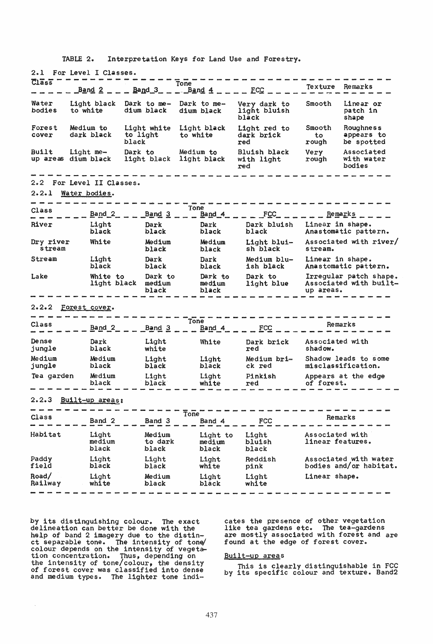TABLE 2. Interpretation Keys for Land Use and Forestry.

| 2.1                                              | For Level I Classes.      |                                  |                                  |                                       |                                     |                                                               |  |
|--------------------------------------------------|---------------------------|----------------------------------|----------------------------------|---------------------------------------|-------------------------------------|---------------------------------------------------------------|--|
| $\overline{C}$ 1 $\overline{a}$ s $\overline{s}$ | Band <sub>2</sub>         | $Band_3$ _ _                     | Tone<br>Band 4                   | $\_$ ECC $\_$                         | Texture                             | Remarks                                                       |  |
| Water<br>bodies                                  | Light black<br>to white   | Dark to me-<br>dium black        | Dark to me-<br>dium black        | Very dark to<br>light bluish<br>black | Smooth                              | Linear or<br>patch in<br>shape                                |  |
| Forest<br>cover                                  | Medium to<br>dark black   | Light white<br>to light<br>black | Light black<br>to white          | Light red to<br>dark brick<br>red     | Smooth<br>to<br>rough               | Roughness<br>appears to<br>be spotted                         |  |
| Built<br>Light me-<br>up areas dium black        |                           | Dark to<br>light black           | Medium to<br>light black         | Bluish black<br>with light<br>red     | Very<br>rough                       | Associated<br>with water<br>bodies                            |  |
|                                                  | 2.2 For Level II Classes. |                                  |                                  |                                       |                                     |                                                               |  |
| 2.2.1                                            | Water bodies.             |                                  |                                  |                                       |                                     |                                                               |  |
| Class                                            | Band <sub>2</sub>         | <u>Band 3</u>                    | Tone<br>$Band_4$                 | $ FCC$                                | <u>Remarks</u>                      |                                                               |  |
| <b>River</b>                                     | Light<br>black            | Dark<br>black                    | Dark<br>black                    | Dark bluish<br>black                  |                                     | Linear in shape.<br>Anastomatic pattern.                      |  |
| Dry river<br>stream                              | White                     | Medium<br>black                  | Medium<br>black                  | Light blui-<br>sh black               | stream.                             | Associated with river/                                        |  |
| Stream                                           | Light<br>black            | Dark<br>black                    | Dark<br>black                    | Medium blu-<br>ish black              |                                     | Linear in shape.<br>Anastomatic pattern.                      |  |
| Lake                                             | White to<br>light black   | Dark to<br>medium<br>black       | Dark to<br>medium<br>black       | Dark to<br>light blue                 |                                     | Irregular patch shape.<br>Associated with built-<br>up areas. |  |
|                                                  | 2.2.2 Forest cover.       |                                  |                                  |                                       |                                     |                                                               |  |
| Class                                            | Band <sub>2</sub>         | Band 3                           | Tone<br>Band 4                   | FCC                                   | Remarks                             |                                                               |  |
| Dense<br>jungle                                  | Dark<br>black             | Light<br>white                   | White                            | Dark brick<br>red                     | Associated with<br>shadow.          |                                                               |  |
| Medium<br>jungle                                 | Medium<br>black           | Light<br>black                   | Light<br>black                   | Medium bri-<br>ck red                 |                                     | Shadow leads to some<br>misclassification.                    |  |
| Tea garden                                       | Medium<br>black           | Light<br>black <sup>-</sup>      | Light<br>white                   | Pinkish<br>red                        | of forest.                          | Appears at the edge                                           |  |
| 2.2.3                                            | Built-up areas:           |                                  |                                  |                                       |                                     |                                                               |  |
| Class                                            | Band 2                    | Band 3                           | $\mathbf{\bar{To}}$ ne<br>Band 4 | FCC                                   | Remarks                             |                                                               |  |
| Habitat                                          | Light<br>medium<br>black  | Medium<br>to dark<br>black       | Light to<br>medium<br>black      | Light<br>bluish<br>black              | Associated with<br>linear features. |                                                               |  |
| Paddy<br>field                                   | Light<br>black            | Light<br>black                   | Light<br>white                   | Reddish<br>pink                       |                                     | Associated with water<br>bodies and/or habitat.               |  |
| Road/<br>Railway                                 | Light<br>white            | Medium<br>black                  | Light<br>black                   | Light<br>white                        |                                     | Linear shape.                                                 |  |
|                                                  |                           |                                  |                                  |                                       |                                     |                                                               |  |

by its distinguishing colour. The exact<br>delineation can better be done with the<br>help of band 2 imagery due to the distin-<br>ct separable tone. The intensity of tone/<br>colour depends on the intensity of vegeta-<br>tion concentrat

 $\hat{\boldsymbol{\theta}}$ 

cates the presence of other vegetation like tea gardens etc. The tea-gardens<br>are mostly associated with forest and are found at the edge of forest cover.

#### Built-up areas

This is clearly distinguishable in FCC<br>by its specific colour and texture. Band2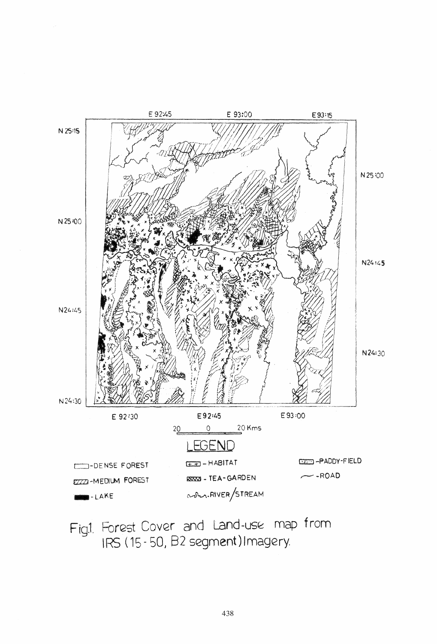

Fig.1. Forest Cover and Land-use map from IRS (15-50, B2 segment) Imagery.